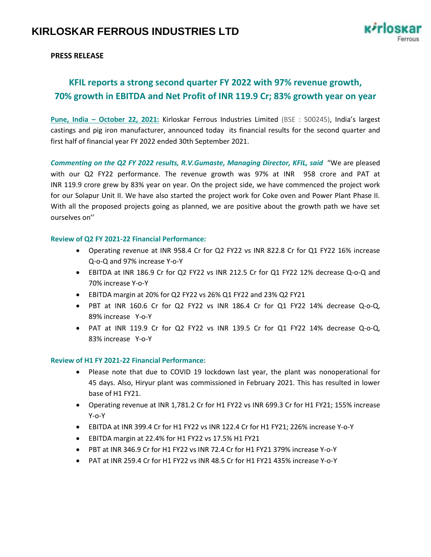

# **PRESS RELEASE**

# **KFIL reports a strong second quarter FY 2022 with 97% revenue growth, 70% growth in EBITDA and Net Profit of INR 119.9 Cr; 83% growth year on year**

**Pune, India – October 22, 2021:** Kirloskar Ferrous Industries Limited (BSE : 500245), India's largest castings and pig iron manufacturer, announced today its financial results for the second quarter and first half of financial year FY 2022 ended 30th September 2021.

*Commenting on the Q2 FY 2022 results, R.V.Gumaste, Managing Director, KFIL, said* "We are pleased with our Q2 FY22 performance. The revenue growth was 97% at INR 958 crore and PAT at INR 119.9 crore grew by 83% year on year. On the project side, we have commenced the project work for our Solapur Unit II. We have also started the project work for Coke oven and Power Plant Phase II. With all the proposed projects going as planned, we are positive about the growth path we have set ourselves on''

### **Review of Q2 FY 2021-22 Financial Performance:**

- Operating revenue at INR 958.4 Cr for Q2 FY22 vs INR 822.8 Cr for Q1 FY22 16% increase Q-o-Q and 97% increase Y-o-Y
- EBITDA at INR 186.9 Cr for Q2 FY22 vs INR 212.5 Cr for Q1 FY22 12% decrease Q-o-Q and 70% increase Y-o-Y
- EBITDA margin at 20% for Q2 FY22 vs 26% Q1 FY22 and 23% Q2 FY21
- PBT at INR 160.6 Cr for Q2 FY22 vs INR 186.4 Cr for Q1 FY22 14% decrease Q-o-Q, 89% increase Y-o-Y
- PAT at INR 119.9 Cr for Q2 FY22 vs INR 139.5 Cr for Q1 FY22 14% decrease Q-o-Q, 83% increase Y-o-Y

#### **Review of H1 FY 2021-22 Financial Performance:**

- Please note that due to COVID 19 lockdown last year, the plant was nonoperational for 45 days. Also, Hiryur plant was commissioned in February 2021. This has resulted in lower base of H1 FY21.
- Operating revenue at INR 1,781.2 Cr for H1 FY22 vs INR 699.3 Cr for H1 FY21; 155% increase Y-o-Y
- EBITDA at INR 399.4 Cr for H1 FY22 vs INR 122.4 Cr for H1 FY21; 226% increase Y-o-Y
- EBITDA margin at 22.4% for H1 FY22 vs 17.5% H1 FY21
- PBT at INR 346.9 Cr for H1 FY22 vs INR 72.4 Cr for H1 FY21 379% increase Y-o-Y
- PAT at INR 259.4 Cr for H1 FY22 vs INR 48.5 Cr for H1 FY21 435% increase Y-o-Y